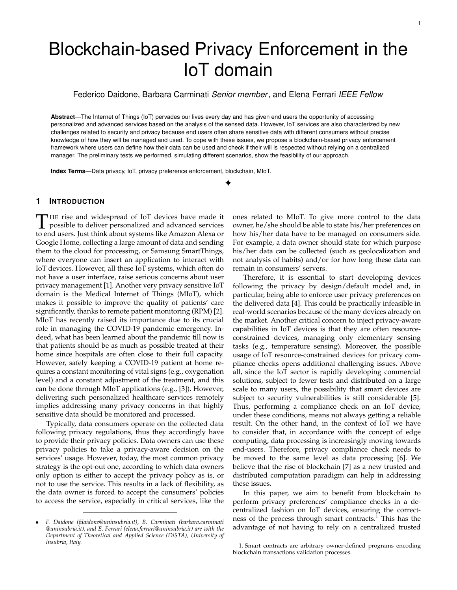# Blockchain-based Privacy Enforcement in the IoT domain

Federico Daidone, Barbara Carminati *Senior member*, and Elena Ferrari *IEEE Fellow*

**Abstract**—The Internet of Things (IoT) pervades our lives every day and has given end users the opportunity of accessing personalized and advanced services based on the analysis of the sensed data. However, IoT services are also characterized by new challenges related to security and privacy because end users often share sensitive data with different consumers without precise knowledge of how they will be managed and used. To cope with these issues, we propose a blockchain-based privacy enforcement framework where users can define how their data can be used and check if their will is respected without relying on a centralized manager. The preliminary tests we performed, simulating different scenarios, show the feasibility of our approach.

✦

**Index Terms**—Data privacy, IoT, privacy preference enforcement, blockchain, MIoT.

# **1 INTRODUCTION**

THE rise and widespread of IoT devices have made it possible to deliver personalized and advanced services to end users. Just think about systems like Amazon Alexa or HE rise and widespread of IoT devices have made it possible to deliver personalized and advanced services Google Home, collecting a large amount of data and sending them to the cloud for processing, or Samsung SmartThings, where everyone can insert an application to interact with IoT devices. However, all these IoT systems, which often do not have a user interface, raise serious concerns about user privacy management [1]. Another very privacy sensitive IoT domain is the Medical Internet of Things (MIoT), which makes it possible to improve the quality of patients' care significantly, thanks to remote patient monitoring (RPM) [2]. MIoT has recently raised its importance due to its crucial role in managing the COVID-19 pandemic emergency. Indeed, what has been learned about the pandemic till now is that patients should be as much as possible treated at their home since hospitals are often close to their full capacity. However, safely keeping a COVID-19 patient at home requires a constant monitoring of vital signs (e.g., oxygenation level) and a constant adjustment of the treatment, and this can be done through MIoT applications (e.g., [3]). However, delivering such personalized healthcare services remotely implies addressing many privacy concerns in that highly sensitive data should be monitored and processed.

Typically, data consumers operate on the collected data following privacy regulations, thus they accordingly have to provide their privacy policies. Data owners can use these privacy policies to take a privacy-aware decision on the services' usage. However, today, the most common privacy strategy is the opt-out one, according to which data owners only option is either to accept the privacy policy as is, or not to use the service. This results in a lack of flexibility, as the data owner is forced to accept the consumers' policies to access the service, especially in critical services, like the ones related to MIoT. To give more control to the data owner, he/she should be able to state his/her preferences on how his/her data have to be managed on consumers side. For example, a data owner should state for which purpose his/her data can be collected (such as geolocalization and not analysis of habits) and/or for how long these data can remain in consumers' servers.

Therefore, it is essential to start developing devices following the privacy by design/default model and, in particular, being able to enforce user privacy preferences on the delivered data [4]. This could be practically infeasible in real-world scenarios because of the many devices already on the market. Another critical concern to inject privacy-aware capabilities in IoT devices is that they are often resourceconstrained devices, managing only elementary sensing tasks (e.g., temperature sensing). Moreover, the possible usage of IoT resource-constrained devices for privacy compliance checks opens additional challenging issues. Above all, since the IoT sector is rapidly developing commercial solutions, subject to fewer tests and distributed on a large scale to many users, the possibility that smart devices are subject to security vulnerabilities is still considerable [5]. Thus, performing a compliance check on an IoT device, under these conditions, means not always getting a reliable result. On the other hand, in the context of IoT we have to consider that, in accordance with the concept of edge computing, data processing is increasingly moving towards end-users. Therefore, privacy compliance check needs to be moved to the same level as data processing [6]. We believe that the rise of blockchain [7] as a new trusted and distributed computation paradigm can help in addressing these issues.

In this paper, we aim to benefit from blockchain to perform privacy preferences' compliance checks in a decentralized fashion on IoT devices, ensuring the correctness of the process through smart contracts.<sup>1</sup> This has the advantage of not having to rely on a centralized trusted

<sup>•</sup> *F. Daidone (fdaidone@uninsubria.it), B. Carminati (barbara.carminati @uninsubria.it), and E. Ferrari (elena.ferrari@uninsubria.it) are with the Department of Theoretical and Applied Science (DiSTA), University of Insubria, Italy.*

<sup>1.</sup> Smart contracts are arbitrary owner-defined programs encoding blockchain transactions validation processes.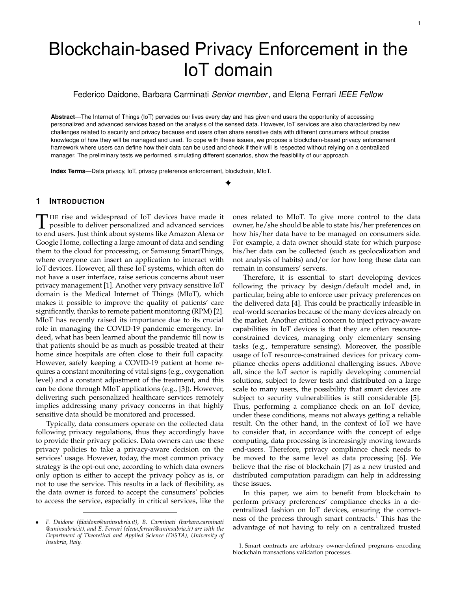monitor to perform the check. Essentially, the compliance check is executed via smart contracts and validated thanks to a distributed consensus among the parties. Then, the result is immutably stored on the blockchain. Data streams generated by IoT devices are complemented with proper metadata, storing information on device owner's privacy preferences, by exploiting the Manufacturer Usage Description<sup>2</sup> (MUD) standard, which allows device manufacturers to implement communication policies on end-devices. The proposed system has been entirely developed and tested with different scenarios to show its performance and feasibility.

The remainder of this paper is organized as follows. Section 2 provides some background information. In Section 3, we discuss the architecture of the proposed solution, and then we deepen the two layers that compose it in Sections 4 and 5. We discuss the security properties in Section 6 and the experimental evaluation in Section 7. Later, Section 8 presents the related work, whereas Section 9 sets out the conclusions. The paper also contains Appendix A and B, containing an in-depth study of Hyperledger Fabric's chaincodes and formal proof of theorems provided in Section 6, respectively.

# **2 BACKGROUND**

In what follows, we briefly introduce some key concepts related to blockchain and the MUD standard that are needed to understand our proposal, as well as the model we adopt to specify privacy preferences.

### **2.1 Manufacturer Usage Description**

The Manufacturer Usage Description (MUD) is an Internet Engineering Task Force (IETF) standard, which allows end devices to indicate to the network their communication needs. Let us consider, for instance, a smart light bulb. In general, this device does not require to interact with other smart home devices (such as heaters or coffee machines). The only connection needed is to the specific vendor service for remote control. As such, by properly configuring MUD, the light bulb owner can block any other unexpected communication. This allows to reduce the attack surface and block some malicious attempts to exploit the device for other purposes. The general MUD schema is as follows. The manufacturer defines, through a configuration file, the access policies and the type of network functionalities required by the device. The configuration can express that the light bulb has to communicate only on port 80 with https protocol to a specific server. When a new device joins a network, it communicates the URL where its MUD configuration file can be retrieved. Then, the network access device (NAD) retrieves the URL and sends it to the MUD manager. This component, usually placed in the local network, retrieves the MUD configuration file from the MUD file manager (aka, the smart light bulb vendor) and adapts the network setting such as to adhere to the MUD configuration (e.g., smart light bulb can connect only with its remote server). Although the standard currently covers only aspects related to network access control, the goal is to

extend it to other fields, such as quality of service and data privacy. Indeed, the standard includes a MUD Extension $3$ field designed at this purpose.

#### **2.2 Blockchain**

Blockchain is a distributed ledger where data are stored in chained blocks publicly accessible to the network nodes [7]. Any activity or exchange of resources made by network participants is stored in the blockchain as a transaction. Transactions are grouped and inserted into a block. Each block contains the hash of the previous block that creates a link between the blocks, comparable to a chain, making the blocks immutable. Before transactions are entered into the blockchain, peers of the network must agree on their validity. In distributed computing, this problem is known as consensus $^4$ . According to the way the network nodes are selected, a blockchain can be classified as permissionless or permissioned. A permissionless blockchain permits to anonymous nodes to participate in consensus. In contrast, in a permissioned blockchain, only selected nodes are authorized to join the network and participate in distributed consensus. Regardless of the permission type, all the major blockchain frameworks support smart contracts, enabling the inclusion of other functionalities with respect to standard validation operations. A smart contract is a program autonomously executed on the blockchain as part of a transaction process validation. Our proposal is based on Hyperledger Fabric<sup>5</sup>, a permissioned blockchain that can manage large amounts of data with high performance. We refer the interested readers to Appendix A for more details about Fabric smart contracts.

#### **2.3 Privacy model**

In general, a privacy policy is specified by a consumer to mainly state which personal data it collects from individuals, for which purpose, for how long, and whether the collected data will be released to third-parties. On the other hand, data owners can specify their privacy preferences as constraints on each single privacy policy component (e.g., purpose, retention time, third-party release). The literature presents several models to represent user privacy preferences (see e.g., [9]). Although the proposed framework can work with several privacy models, we choose to adopt the model presented in [10], since this has been designed for the IoT scenario. This is an expressive privacy model that, in addition to standard privacy-related elements (e.g., purpose), also supports a set of features tailored to the IoT domain to allow data owners to limit how and which data can be derived during IoT analytic processes. Moreover, it allows the automatic generation of privacy preferences for newly derived data (e.g., information resulting from data fusion). In this proposal, as a first step, we have considered a lighter version of [10], such to focus mainly on the traditional privacy preference components (e.g., purpose,

<sup>3.</sup> Reporting MUD behavior to vendors - Available at https://tools. ietf.org/html/draft-lear-opsawg-mud-reporter-00.

<sup>4.</sup> Proof-of-Work (PoW) or Proof-of-Stack (PoS) are example of BFT protocols [8]

<sup>5.</sup> Available at https://www.hyperledger.org/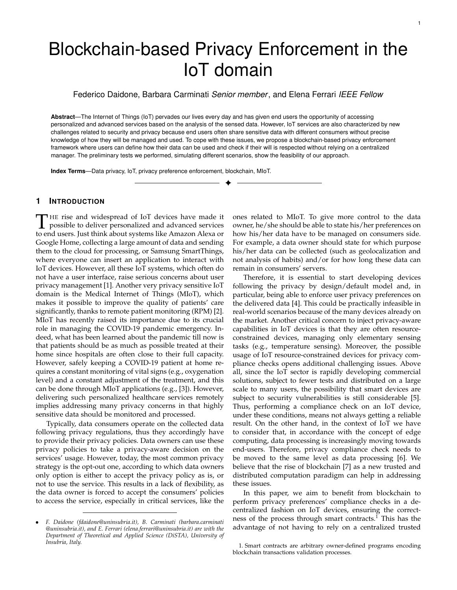

retention time). We postpone as future work to extend the framework to have full compliance with the model in [10].

According to [10], purposes are hierarchically organized into a tree structure  $PT$ , as shown by the example in Figure 1. Such tree structure is used to limit the number of purposes that need to be specified into a privacy preference. Indeed, a preference with the purpose *purp* also implies the authorization for all the purposes rooted at  $\text{p}$ ur $\text{p}$  in  $\text{PT}$ . However, the model also allows the specification of exceptions to this propagation, as formalized by the following definition.

*Definition 1 (Intended purpose [10]).* An intended purpose *ip* is a pair  $(Aip, Exc)$ , where  $Aip$  (allowed intended purposes) is a set of purposes belonging to a purpose tree  $PT$  and  $Exc$  (exceptions) is a set of purposes that descend from elements in Aip. ip authorizes the access for all purposes that descend from  $6$  the elements in  $Aip$ , except for those that descend from any element in  $Exc$ .

Now, it is useful to define the set of purposes implied by  $ip$ , denoted as  $ip$ , to check the privacy compliance. This is the set of *purp* in  $A$ *ip* including all their child nodes in  $PT$ . From this set, we remove all  $p$ ur $p$  in  $Exc$ , plus their child and parent nodes in  $PT_{\leq}$ 

Formally, let  $Aip = \int_{purp\in ip:Aip} purp^{\downarrow7}$ , where  $purp^{\downarrow}$  is the set composed of *purp* and all purposes descending from purp in  $PT$ , and  $Exc =$  $\int_{\text{purple}(p:E\times c)}^{\infty}$  purp<sup>†</sup>, where purp<sup>†</sup>, the set composed of purp and all purposes descending and ascending from purp in  $PT$ ,  $ip = Aip$   $EXc$ .

A privacy preference is in turn defined as follows.

- *Definition 2 (Privacy preference [10]).* A privacy preference is a tuple  $pp = h$ ; consumer; ip; rt; tpui, where is an attribute of a data stream generated by a smart object to which the policy refers to, *consumer* specifies the set of consumer's identities to which  $pp$  applies,  $ip$  specifies the intended purposes for which can be collected and used by any entity in consumer, rt specifies the retention time, and  $tpu$  the third party usage.<sup>8</sup>
- *Example 1.* Let us consider the scenario of a smart home, equipped with MIoT devices for the remote monitoring. The basic symptoms monitoring system is composed by sensors for acquiring the respiration rate, heart rate, temperature, and oxygen saturation [11]. The sensed data must reach the hospital, namely the consumer, who takes care of the treatments. A patient can define a privacy preference  $pp$  for each data

stream generated by the monitoring system. Consider, for instance, the heart rate monitoring. Suppose that a user wants to share the sensed data only with his/her hospital and only for administration and medical purposes, except for research. Moreover, he/she allows a retention time of 90 days and prohibits the dissemination of such information to third parties. To model these requirements, the user can specify  $pp$  as follows:  $pp =$  hheart-rate; fhospital-companyg; hfadmin; medicalg; fresearchgi; 90d; unshareablei. By considering the purpose tree in Figure 1, the set of burposes authorized by  $pp$  is  $ip = \frac{f}{f}$  figure 1, the set of analysis; diagnosis; examinationg.

A privacy policy can be modelled as a tuple  $h$ ; up; dataRet; dataReli, where denotes the attribute of a stream sensed by an IoT device to which the policy applies,  $\mu$  is the data usage purpose, whereas dataRet is the data retention time, and *dataRel* is the third party usage. The privacy compliance check compares a privacy preference with a privacy policy, in order to verify whether the consumer's data usage complies with the data owner's will.

# **3 ARCHITECTURE**

In this section, we introduce the overall architecture of the proposed blockchain-based privacy preferences enforcement framework, shown in Figure 2. The key idea is that data owners can leverage on blockchain for privacy compliance before their data are sent to consumers. We assume that both devices of data owner and consumers are registered on the blockchain. More precisely, we model a smart environment at the data owner side a set of connected IoT devices, hereafter IoT network, owned by a given user. The IoT network can sense data from the user environment, eventually locally elaborate them, and then send them to the consumer servers. We further assume that the IoT network is connected to consumer servers via a limited set of special IoT devices, called gateways. In our proposed solution, the gateways become the point of contact of an IoT environment with the blockchain. This implies that they also act as blockchain nodes, called IoT blockchain nodes, in addition to performing their gateway's functions. Data collected by the gateways are complemented with metadata encoding the owner's privacy preferences. Consumers register their privacy policies into the blockchain.

IoT manufacturers play a key role in the privacy enforcement process. They know their products in detail, for example, which network ports they use, which endpoints they connect to, which information they process and which instead they send to consumers, etc. Manufacturers can leverage the MUD standard to define the behavior of their IoT devices at internetworking level (e.g., MAC address, IP address, network port). With respect to data privacy, in our framework, the manufacturer can insert a by default privacy preference, called system-defined privacy preference *pps*, using the custom field provided by MUD (see, Section 2.1). This represents a privacy preference defined with the aim of providing the first level of privacy, by design and by default, to unaware users and therefore being compliant

<sup>6.</sup> Hereafter, we assume this relationship as reflexive, meaning that every element descends from itself.

<sup>7.</sup> In what follows, we use the dot notation dataStructure:element to indicate an element inside a tuple or a data structure.

<sup>8.</sup> For simplicity, in what follows, we assume that the retention time is expressed in days and the third party usage  $tpu$  assumes one of two values, namely shareable or unshareable.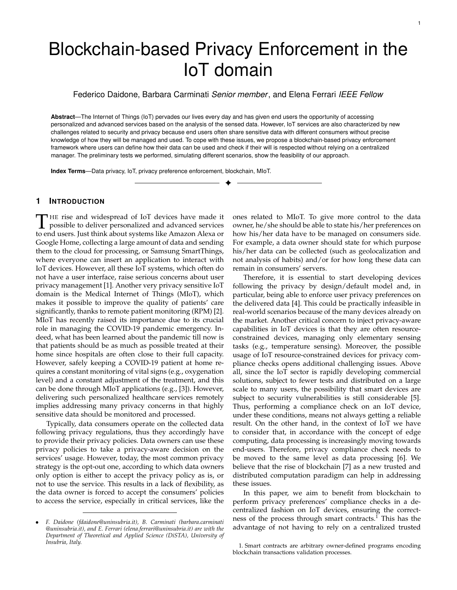

Fig. 2: Blockchain-based privacy enforcement workflow

with regulations, such as the GDPR $\rm^9$ . In any case, the data owner is free to add further restrictions to system-defined privacy preferences, by specifying an owner-defined privacy preference ppo. In particular, the framework provides the functionalities to merge the owner and system-defined privacy preferences before performing a compliance check. As it will be described in Section 4, this process is carried out via a dedicated smart contract deployed in the blockchain. Hereafter, when we talk about privacy preference, we will refer to the one generated by the combination of the systemdefined and the owner-defined privacy preferences.

We also rely on smart contracts for the enforcement of privacy preferences. In particular, the gateways analyze the collected data, and when they find a new privacy preference (e.g., a privacy preference that has not yet been evaluated), they trigger the execution of a smart contract implementing the privacy compliance check. This is designed to verify whether the consumer policy satisfies the constraints specified by the data owner in his/her privacy preference. Finally, we save on-chain the proof of the results returned by the compliance check for auditing purposes.

In devising our framework, we have to consider that, by design, information stored in the chain is distributed among all blockchain nodes. Each node can see what is saved onchain as well as the smart contract contents. The privacy enforcement does not treat sensitive information, and therefore any node can execute the smart contract without affecting the data owner's privacy. Moreover, the proposed architecture leverages on a permissioned blockchain that can be configured such that only given stakeholders are authorized to join the privacy compliance check.<sup>10</sup> Once privacy enforcement has been executed (i.e., its smart contract has been validated), we exploit the blockchain to enforce the data release process. This implies to release owner's data only to consumers that satisfy his/her privacy preferences. Since data could be sensitive, we cannot store them directly in the blockchain. For this reason, we assume that once the data have reached the gateway, they are kept in local temporary storage, at the gateway side, waiting to be released to the authorized consumers. To coordinate the data release, we need a communication channel able to directly connect the

gateway holding the data to the blockchain node corresponding to the authorized consumer. This channel must be private, avoiding thus any other nodes in the blockchain to access exchanged data. At this purpose, we exploit the *private data* mechanism, natively supported by Hyperledger Fabric. Thanks to this, Hyperledger Fabric can create peerto-peer links between two or more nodes to exchange offchain information, keeping on-chain an evidence of the data exchange. In particular, all communications take place via an encryption layer, established through the Transport Layer Security (TLS). Therefore, when the data owner's privacy preferences have been verified, another smart contract takes care of data release. It is executed directly by the gateway hosting the data to be released. Its execution aims at moving the data from the temporary local storage to the authorized consumer via the P2P channel supported by Hyperledger private data. The sensitive data are processed only within the data owner's IoT blockchain node (i.e., the gateway acting as blockchain node). The remaining nodes can only see the hash of this data, stored on the blockchain as a result of the smart contract execution. To enforce the abovementioned steps (i.e., privacy enforcement and data release), we leverage on a permissioned blockchain to create two groups of blockchain nodes, namely the privacy enforcement and the data release layer (see Figure 2) to which we assign different privileges on transactions/smart contracts. Nodes on the privacy enforcement layer implement the privacy compliance check, whose outcome is used by nodes on the data release layer. Both layers are discussed in detail in Sections 4 and 5, respectively.

# **4 PRIVACY ENFORCEMENT LAYER**

In this section, we illustrate the three phases carried on by the privacy enforcement layer: privacy preference enforcement, tuple grouping, and enforcement audit.

#### **4.1 Privacy preference enforcement**

As depicted in Figure 2, data sensed by IoT devices are sent to gateways, that act as blockchain nodes (see step 1 in Figure 2). IoT devices send their data inside a data tuple  $t_{d}$ , formally defined as follows.

*Definition 3 (Data tuple).* Let  $S_d$  be a stream containing data sensed by an IoT device. A data tuple  $t_d$  in  $S_d$  has the following structure:  $hids/sn/d/hash(d)/h$ , where d is the

<sup>9.</sup> General Data Protection Regulation - EUR-Lex 32016R0679: https: //eur-lex.europa.eu/eli/reg/2016/679/oj

<sup>10.</sup> Permissioned blockchains allow us to have an integrated identity management system relying on public key infrastructure to identify authorized stakeholders.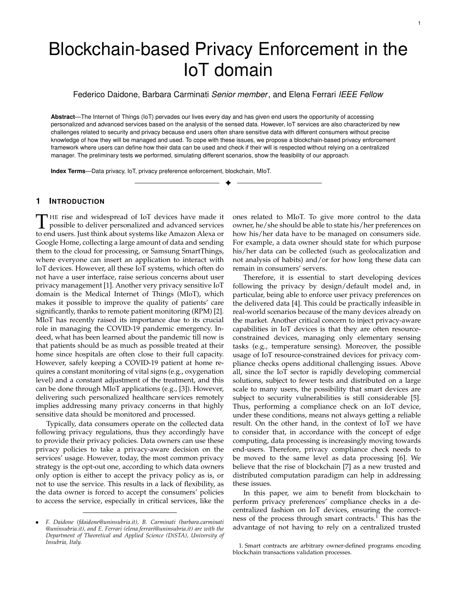sensed data,  $hash(d)$  is the hash value of  $d$ ,  $idS$  is the id of  $S_d$ , whereas *Sn* represents the sequence number of  $t_d$ in  $S_d$ .

We use hashes to let consumers check that the received data are exactly those sent by IoT devices and have not been manipulated or corrupted (see Section 4.3). To avoid further overload of the blockchain, the hash values are directly computed by IoT devices. For instance, the tuple  $t_d$  = hstream01;32; \heart-rate : 60"; \de6960c7" i can be used to encode heart rate information of a patient equipped with a wearable device to sense heartbeats. Before sending their data, data owners must register their data streams on gateways. Consumers can then subscribe to registered data streams. This subscription is subject to data owner acceptance. Once the data owner accepts a new subscribed consumer, he/she communicates a vector of subscribed consumers' **consumerVector**<sup>11</sup> to the gateway (see step a in Figure 2). The vector is formed by consumer identifiers *idC* and wrapped into a tuple  $t_{cv}$  : *hidS*; **consumerVector***i*, where  $i dS$  is the target stream identifier. On the other hand, consumers register their privacy policies in the blockchain (see step b in Figure 2). A consumer's gateway sends to the blockchain the privacy policy  $p$  related to a stream  $idS$ through a privacy policy tuple  $t_p$  with the following structure:  $hids$ ;  $idC$ ;  $pi$ , where  $idC$  is the consumer identifier,  $idS$  is the data stream identifier, whereas  $p$  denotes a privacy policy specified as explained in Section 2.3. When the blockchain receives  $t_p$ , it executes a tailored smart contract to store the tuple with the identifier  $i dT p$  and to create an association between the consumer idC and the stream idS.

We recall that, to make the task of privacy preferences specification easier, we assume that IoT manufacturers create system-defined privacy preferences, with the aim to also protect those data owners with little awareness of the privacy risks related to data disclosure. Such preference is stored into the MUD extension field. Moreover, the preference is also stored in the blockchain for future audits (e.g., in case the MUD file is no longer available on the manufacturer server). A skilled data owner can specify his/her own privacy preferences, called owner-defined privacy preferences. An owner-defined privacy preference complements the system-defined privacy preference, making it more restrictive. The gateway, upon receiving the data owner's privacy preference (see step a in Figure 2) and catching the MUD URL coming from the corresponding IoT device, sends this information to blockchain injecting into the corresponding stream a privacy preference tuple  $t_{pp}$ , formally defined as follows.

*Definition 4 (Privacy preference tuple).* Let  $S_d$  be a stream containing data sensed by a smart device. A privacy preference tuple  $t_{pp}$  in  $S_d$  has the following structure: hidS; sn; mudUrl; ppoi, where idS is the id of  $S_d$ , sn represents the sequence number of  $t_{pp}$  in  $S_d$ , mudUrl is the URL pointing to the manufacturer's MUD file of the corresponding IoT device, and ppo is the owner-defined privacy preference, specified according to the model in Section 2.3.

In case of legacy devices, which are not compatible with the MUD standard, the mudUrl field will be left blank. An empty *ppo* field means that the data owner has not specified his/her own privacy preference. When both the *ppo* and  $mudUr$  fields are empty, it is equivalent to not execute any privacy enforcement.

The privacy enforcement smart contract (see Pseudocode 1 <sup>12</sup>) includes the *submitPrivacyPreference()* function that generates a unique  $pp$  starting from the input privacy preferences provided in  $t_{pp}$ . It is started when the blockchain receives a new  $t_{\rho\rho}$ . As first step, it checks that the sequence number is as expected, to avoid inconsistencies and conflicts of privacy preference (see, Line 6). When the tuple  $t_{pp}$ contains only the data owner-defined privacy preference, that will become the actual  $pp$ . The same holds if only a system-defined preference is contained into the tuple. When the privacy preference tuple contains both a system and an owner-defined preference, the resulting  $\rho p$  is obtained by combining these two in such a way that they must be both satisfied in order to deliver the protected data to the requesting consumers. Preferences combination is implemented by the *ppCombine*() function (Pseudocode 1). The generic "join  $(pps: ppo: )$ " function combines each element of the two privacy preferences. At the end, the function returns the resulting  $\rho p$ , which is saved in the blockchain as a parameter of  $t_{pp}$ . In addition, we also append the system-defined privacy preference *pps* retrieved from the manufacturer server. The execution of the privacy enforcement smart contract is then validated by the network via distributed consensus, ensuring thus the correct compliance check.

*Example 2.* Returning to Example 1, a privacy preference tuple for the heart rate can be:  $t_{pp}$  = hstream01;24;\manuf acturerUrl"; dataOwnerPPi, where "stream01" is the stream id, "24" is the tuple id, "manufacturerUrl" is the url of the MUD file containing pps, "dataOwnerPP" is the owner-defined privacy preference, which we assume being the pp of Example 1, that is: heart-rate; fhospital-companyg; hfadmin; diagnosisg; ; i; 90d; unshareablei. In this example the data owner grants access to his/her sensitive data. The system-defined privacy preference acts by excluding any purpose which is not GDPR compliant (e.g., to ensure that consumers cannot speculate on medical data). This can be encoded by the following system-defined privacy preference:  $pps = h; \; ; \; ; \; h; \; ;$  fmarketinggi; ;;; i. The combination of the two privacy preferences that will be saved on blockchain is:  $pp =$ hheart-rate; fhospital-companyg; hfadmin; diagnosisg; fmarketinggi; 90d; unshareablei.

When the blockchain receives a new  $t_{pp}$ , the contained privacy preference  $pp$  takes effect substituting the previous one. This implies to run the privacy compliance check of the new preference against privacy policies of consumers subscribed to the related stream (same  $i dS$ ). This check is performed by the *privacyComplianceChecker()* function (Pseudocode 1). The function is triggered by the *submitPrivacyPreference()*

<sup>11.</sup> All vectors are denoted in lowercase bold.

<sup>12.</sup> Functions " $getBc$  \* \*  $(k)$ "/" $putBc$  \* \*  $(k; v)$ " read/write the data with key  $k$  and value  $V$  on the blockchain, respectively.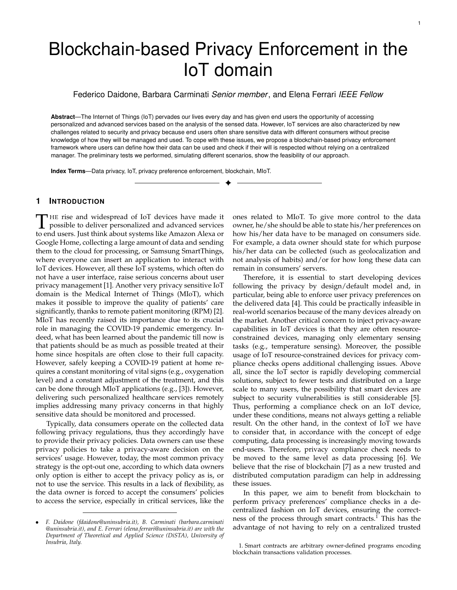function each time a new  $t_{pp}$  is received. After obtaining the privacy preference tuple and the consumer vector, *privacyComplianceChecker()* verifies which of the consumers have the authorization to receive the data in the stream to which  $t_{\text{pp}}$  refers to. This is done by leveraging on the *verifyAuth*() function (Pseudocode 1). The purpose check (see, Line 8) is satisfied if up specifies an allowed purpose, that is, a purpose contained in  $ip$  (see, Section 2.3). Also, dataRet must be less than or equal to  $rt$  (see, Line 11), whereas  $dataRel$  must match  $tpu$  (see, Line 14). If all checks are satisfied, then the compliance check successes. The result is then stored in the blockchain. More precisely, since the function is executed for each subscribed consumer, all returned results are collected into a unique vector:

$$
\text{check} = (check_1; check_2; \dots; check_n)
$$
\n
$$
s:t: check_j = (idC; idTp; grant)
$$
\n(1)

where  $n$  is the number of subscribed consumers, grant is the value returned by *verif yAuth*() for consumer whose id is  $idC$ , and  $idTp$  is the privacy policy identifier. As introduced in Section 4.1, when  $t_p$  is submitted to the blockchain, an identifier  $i dT p$  is generated, referenced on-chain with the keys  $idC$  and  $idS$ .  $idTp$  is retrieved from blockchain via the getBcIdT pByIdSIdC() function (see, Line 19). Finally, the **check** vector is saved in the blockchain with idCheck as key.

# **4.2 Tuple grouping**

In a realistic IoT scenario often many devices in the IoT network push their tuples to the gateway simultaneously. However, blockchain might not be able to manage a high incoming rate of tuples, such as gateways might produce. Therefore, the blockchain can become a bottleneck. To avoid this, we group data tuples to which the same privacy preference applies. This selection has the purpose to lighten the workload on the smart contract and therefore on the blockchain. By grouping tuples with similar privacy protection requirements, the blockchain can process them in one round. Indeed, when the smart contract receives a group of tuples that share the same  $idS$  and  $pp$ , it can perform the compliance check only once and apply it to the whole group. To correctly create the tuple selection , we must take into account the validity range of  $pp$  for a given data stream  $S_d$ , that is, the set of tuples to which it applies. The range of tuples to which pp applies begins with the privacy preference tuple referring to  $pp$  and ends with the subsequent privacy preference tuple. We call this data stream subset *privacy preference scope,* denoted as S<sub>pp</sub>. Another important dimension is the time interval on which the selection acts. Considering different streams as input to the gateway, the selection must wait for the collection of a certain number of data tuples. We can limit the maximum waiting time and the maximum number of tuples per selection to be sent to the blockchain. By tuning these two parameters, we create queues within the gateway with different priorities and capacities. For example, in the case of streams that need low latency and small data size, such as near realtime, we can select a low accumulation time and a high number of tuples in a single selection. Otherwise, if the flow contains big size data that can be delayed, such as batch processing, the queue may have a higher grouping time than

in the previous case. We have considered these two extreme scenarios, but the platform is also capable of handling mixed scenarios, by using the same approach. Obviously, different strategies must be adopted to tune the window and balance the latency according to the considered application scenario. In any case, contains a certain number of data tuples collected in a time interval, that respects the constraint of having the same stream identifier and the same privacy preference applied to all its tuples. Each tuple in the selection has its own sequence number, so we can define an interval as two integers  $[n; m]$ , where  $n$  and  $m$  are the sequence numbers of the first and the last tuple, respectively.  $[n; m]$ (S<sub>d</sub>) represents a selection of tuples  $t_d$  2 S<sub>d</sub> such that  $t_d$  belongs to  $S_{pp}$  and  $n$   $t_d$ :sn  $m$ .

For the obvious limitations of the blockchain, we must include further optimizations with respect to the use of data hashes contained in each data tuple (see, Def. 3). Therefore, we exploit a hash function to compute and store only a digest, representative of a whole tuple selection. Let us consider a hash function hash() and  $n$  messages  $m_1$ ;  $m_2$ ; :::;  $m_n$ , the digest is calculated as  $d = hash(hash(m_1)jhash(m_2)j::jhash(m_n))$ , where  $ji$  denotes the concatenation operation. Keeping only one digest in the blockchain allows us to combine in a single hash all the tuples over which the control has been made, with a considerable saving of space. More precisely, from a selection  $_{[n;m]}(S_d)$  we obtain the set of tuples  $t_d$  composing it (see, Figure 3). For each  $t_d$ , we select only the field  $hash(d)$ . Finally, we compute the cascading hash on the resulting set of hash values.

After that, for each  $t_d$  in  $_{[n;m]}(S_d)$ , we collect d into a data vector **d**. The data vector is saved on temporary local storage, 2' in Figure 2, and it is not shared with anyone, but it is only accessible locally by the data owner.

Leaving aside **d** (it will be discussed in Sec. 5), we represent the tuple selection  $[n; m](S_d)$  on the blockchain with a small size tuple suitable for on-chain storage, called chunk tuple  $t_c$ , whose structure is:

$$
hidS; idT_{pp'}[n; m]; idCheck; digest(h)i
$$
  
s:t: h = 
$$
\int_{hash(d)} (\text{[n:m]})
$$
 (2)

where **h** is the projection on component  $hash(d)$  of selection  $_{[n;m]}$ , *idS* is the identifier of the stream to which the selection refers to,  $idT_{pp}$  is the selection's privacy preference identifier,  $[n; m]$  is the interval of data tuples' sequence numbers belonging to the selection, *idCheck* is the privacy compliance check identifier, whereas digest() is the digest built on **h**.  $t_c$  is created by function  $dataTupleChunk()$  of the privacy enforcement smart contract (see, Pseudocode 1 and step 2 in Figure 2). It receives as input, from which it derives  $idS$ , **h**, and  $[n; m]$ . The two identifiers  $idT$  pp and idCheck are obtained from blockchain with key idS. Next, we calculate the digest (see, Line 33) and then store  $t_c$ , with its identifier  $i dT c$ , on the blockchain. Figure 3 shows a graphic representation of the tuple selection process. At the top, each square represents a tuple, those with the bold border are privacy preference tuples, while the others are data tuples. The colors green, red, and yellow represent tuples from three different data streams. Focusing on the green stream, "idS: 1", we can see two privacy preference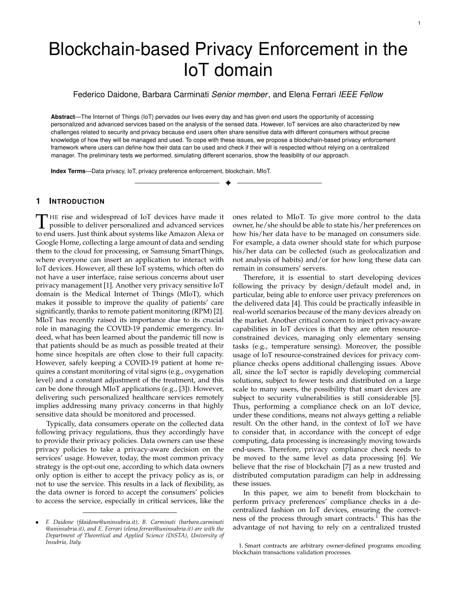

Fig. 3: Tuple selection process inside the gateway

scopes  $S_{\rho\rho}$ , the first with a selection, and the second with two selections. For instance, the selection  $_{[7,10]}(S_d)$  consists of the tuples from sequence number 7 to 10 in the stream *idS* : 1 belonging to the privacy preference scope  $S_{pp2}$ .

#### **4.3 Privacy preference enforcement audit**

Our framework allows data owners to check whether the compliance of their privacy preferences with the consumers' privacy policies has been correctly carried on for a certain data tuple. Regarding consumers, they can check the outcome of their privacy policy enforcement and whether the received data set is complete.

Mainly, the data owner has the right to verify the enforcement of his/her privacy preferences over his/her data and to which consumers they have been released. To proceed with the audit verification of a specific data tuple  $t_{d}$ , the data owner needs to determine the chunk tuple  $t_c$  where the outcome of the compliance check for  $t_d$  is kept. Knowing  $idS$ , he/she can go back to  $t_c$  thanks to the  $sn$  component of  $t_d$ . Once the data owner gets  $t_c$  from the blockchain, he/she can carry out the checks itself. First, the data owner can verify that the tuples contained in the range  $[n; m]$  have been enforced with the privacy preference  $t_{pp}$ , retrieved from idT pp. Another check is on the vector **check**, kept with *idCheck* on blockchain. Specifically, each consumer has his/her own check inside **check** vector. By doing so, the data owner gets the list of consumers enabled to receive the data. A third more in-depth check can be carried out on each individual consumer, to re-evaluate privacy enforcement on  $t_{\text{op}}$  and  $t_{\text{p}}$ . In this case, the data owner must carry out the check on his/her own and verify that the outcome matches the one stored in the grant component of the element referring to that consumer in the **check** vector.

On the other hand, the consumer receives  $t_c$  and **d**. From  $t_c$  he/she can see the outcome of the privacy enforcement carried on his/her privacy policy and, if he/she wants, recalculate it with  $t_{\text{DD}}$  and  $t_{\text{D}}$  for double-check, like the data owner. Instead, to verify the completeness of the received data set, he/she can calculate the entire digest of **d** and compare it with the one contained  $t_c$ . If they match, then the consumer has received all the data.

# **5 DATA RELEASE LAYER**

The data release layer transfers an authorized data item d from the data owner IoT blockchain node to a consumer IoT blockchain node. Since d may contain sensitive information, they cannot be exchanged on-chain. For this reason, we

#### **Pseudocode 1:** Privacy enforcement smart contract

```
1 Let:
```
- **<sup>2</sup>** tpp be the privacy preference tuple;
- **<sup>3</sup>** idT pp be the privacy preference tuple identifier;
- **<sup>4</sup>** be the tuple selection ;
- **<sup>5</sup> Function** *submitPrivacyPreference (*tpp*)*
- **6** checkSequenceNumber(tpp);
- 7 | mudF ile = downloadMudFile(tpp.mudUrl);
- $8 \mid tpp.pps = \text{extractPps}(\text{mudF} \text{ ile});$
- **<sup>9</sup>** tpp.pp = ppCombine(tpp.pps, tpp.ppo);
- 10 **new**  $\int dT$  pp;
- 11 | putBcTpp( $idT$ pp, tpp);
- 12 | privacyComplianceChecker( $idT$ pp);
- **<sup>13</sup> end**
- **<sup>14</sup> Function** *privacyComplianceChecker (*idT pp*)*
- 15  $\uparrow$   $\uparrow$   $pp = getBcTpp(idTpp);$ **<sup>16</sup>** consumerV ector = getBcConsumerVector(tpp.idS);  $17$  **check** = **new** vector;
- **<sup>18</sup> forall** idC *in* consumerV ector **do**
- 19  $\vert$   $i dT p = getBcldTpByIdSIdC(tpp.idS, idC);$
- $20$  |  $tp = getBcTp(idTp);$  $21$  | grant = verifyAuth(tpp:pp, tp:p);
- **<sup>22</sup> check**.add(idC,idT p,grant);
- **<sup>23</sup> end**
- **<sup>24</sup> new** idCheck;
- **<sup>25</sup>** putBcCheck(idCheck,**check**);
- **<sup>26</sup> end**
- **<sup>27</sup> Function** *dataTupleChunk ( )*
- $28$  |  $idS = getIdS($  );
- $29$  |  $idT pp = getBcldTppByIdS(idS);$
- $30$  **h** = getH( );
- $31$   $[n; m] = \text{getInterval}$  );
- **<sup>32</sup>** idCheck = getBcIdCheckByIdS(idS);
- **<sup>33</sup>** digest = calculateDigest(**h**);
- $134$   $tc = (idS, idTpp, [n; m], idCheck, digest);$
- $35$  **new**  $idTc$ ;
- $36$  | putBcTc( $idTc, tc$ );
- **<sup>37</sup> end**
- **<sup>38</sup> Function** *ppCombine (*pps*,*ppo*)*
- **<sup>39</sup> new** pp;
- 
- 40  $pp:ip = \text{joinlp}(pps:ip, ppo:ip);$  $41$  | *pp:rt* = joinRt(*pps:rt,ppo:rt*);
- **<sup>42</sup>** pp:tpu = joinTpu(pps:tpu,ppo:tpu);
- **<sup>43</sup>** return pp;
- **<sup>44</sup> end**

exploit a peer-to-peer (P2P) off-chain private channel to exchange data between the involved parties. For this purpose, in this paper, we leverage on private data provided by Hyperledger Fabric. Private data allows the establishment of a P2P link between two or more nodes for data sharing, saving on the blockchain a trace of the exchange.

More precisely, the data release layer operates on the output of the privacy enforcement layer (see, Section 4), that is: (1) the data  $d$  to be released to the intended consumers, which are saved on local temporary storage as data vector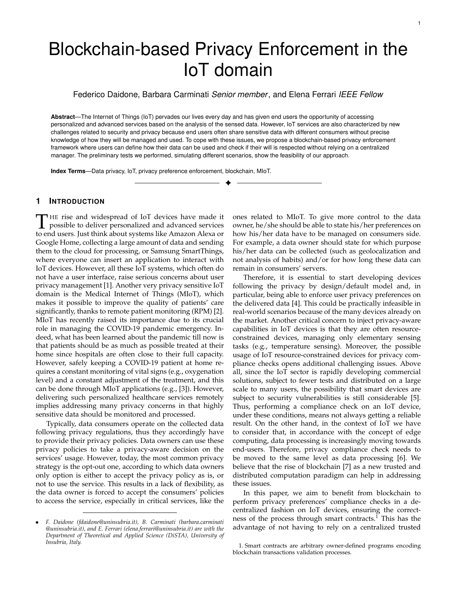#### **Pseudocode 2:** Verify authorization function

|                | 1 Let:                                                           |
|----------------|------------------------------------------------------------------|
| $\overline{2}$ | <i>pp</i> be the data owner's privacy preference;                |
| 3              | $\rho$ be the consumer's privacy policy ;                        |
| $\overline{4}$ | Function verify Auth $(p\rho, p)$                                |
| 5              | Let <i>ipF laq</i> be a boolean variable, initialized as False;  |
| 6              | Let rtF lag be a boolean variable, initialized as False;         |
| $\overline{7}$ | Let <i>tpuF lag</i> be a boolean variable, initialized as False; |
| 8              | if $(p:up \in pp: \overrightarrow{ip})$ then                     |
| 9              | <i>ipF lag</i> =True;                                            |
| 10             | end                                                              |
| 11             | if $(p:dataRet < pp:rt)$ then                                    |
| 12             | rtFlaq=True;                                                     |
| 13             | end                                                              |
| 14             | if $(p:dataRel = pp:tpu)$ then                                   |
| 15             | tpuF lag=True;                                                   |
| 16             | end                                                              |
| 17             | <b>if</b> (ipF lag=True & rtF lag=True & tpuF lag=True) then     |
| 18             | return True;                                                     |
| 19             | else                                                             |
| 20             | return False;                                                    |
| 21             | end                                                              |

**d**, and (2) the chunk tuple  $t_c$ , stored on the blockchain. The purpose is to send **d** to the allowed consumers. The data release is managed by a smart contract, described in Pseudocode 3, and executed by the data owner IoT blockchain node. The data release smart contract leverages the dataRelease() function, which sends data to consumers according to the compliance check results. The function receives as input parameters (1) and (2) and verifies that each consumer has received a positive result from the compliance check performed by *privacyComplianceChecker()* (see, Pseudocode 1), otherwise data are not released.

First, let us get  $t_c$  by  $idTc$  (see, Line 5, Pseudocode 3), where is contained *idCheck* (it represents a pointer within the blockchain to the privacy enforcement check). We use idCheck to derive the vector **check** from blockchain (see, Line 6, Pseudocode 3). Inside this vector, we have the outcome of privacy enforcement per each consumer. When the smart contract finds a consumer, who is entitled to receive the data, it gets the private channel identifier and sends **d** on the P2P off-chain channel through a tuple (*idTc*; **d**). The function *putP rivateData*() (see, Line 10 of Pseudocode 3) takes care of sending  $(idTc; d)$  to the consumer on an Hyperledger Fabric private channel. Since in a blockchain

| Pseudocode 3: Data release smart contract    |
|----------------------------------------------|
| 1 Let:                                       |
| <i>2 idTc</i> be the chuck tuple identifier; |
| 3 <b>d</b> be the data vector;               |
| 4 Function dataRelease ( $idTc,d$ )          |
| $tc = getBcTc(idTc);$<br>5                   |
| $check = getBcCheckVector(tc.idCheck);$<br>6 |
| forall check in check do<br>$\overline{7}$   |
| <b>if</b> check:grant is True then<br>8      |
| $idChannel = getChannel(check:idC);$<br>9    |
| putPrivateData(idChannel, idTc, d);<br>10    |
| end<br>11                                    |
| end<br>12                                    |
| end<br>13                                    |

network any node can be vulnerable and attacked, data contained in **d** are encrypted and signed by the IoT devices that generate them. Hyperledger Fabric provides a Public Key Infrastructure (PKI) in which each node has its own

identity with a public and a private key (wallet). Taking advantage of this feature, an IoT device can send through the P2P off-chain channel a symmetric key to a consumer, encrypting it with the consumer's public key. The consumer uses the Hyperledger Fabric getPrivateData() function in order to obtain his/her data. This function requires the channel identifier idChannel and the chunk tuple identifier  $idTc$  as input parameters. The consumer knows the channel identifier *idChannel* as this is released at subscription time, the chunk tuple identifier  $i dT c$  because the P2P off-chain channel has a built-in push notification mechanism that alerts the consumer when a new chunk tuple is available. After that, **d** is sent to the consumer ( 7 in Figure 2).

## **6 SECURITY DISCUSSION**

In this section, we discuss the security guarantees provided by each layer of our framework, as well as of the underlying infrastructure. In general, we assume that each component of our infrastructure (e.g., blockchain, gateways, and IoT devices) is untrusted and controlled by different entities that might have conflicting interests.

*Infrastructure*: To ensure secure communication among IoT devices, gateways, and blockchain peers, we leverage the authentication and encryption mechanism features provided by Hyperledger Fabric via Membership Service Provider (MSP)<sup>13</sup>, which is based on TLS protocol and X.509 certificates.

A further key component of the proposed infrastructure is the blockchain, which might be subject to vulnerabilities and threats, e.g., double spending, smart contract coding flaws, Sybil attack, etc. In our framework, to cope with these threats we adopted the countermeasures designed for Hyperledger described in [12]. Moreover, we rely on a permissioned blockchain and, as such, blockchain's clients and peers are known, having they own identities. Therefore, they are accountable for their behaviors, and any perpetrator of abuse or malicious behavior is easily identifiable and can be banned from the network. We also use the raft consensus algorithm which is considered safe and preventing double spending by design [12]. Although the blockchain allows us to run a reliable privacy enforcement even in an untrusted environment, we have to consider smart contracts' security. Smart contracts are prone to various programming errors that can lead to bugs and/or vulnerabilities. They can be exploited to manipulate the workflow of the smart contract and obtain different results from those expected. To cope with this issue, we have implemented a set of strategies, such as imposing maximum time for smart contract execution, setting root privileges only where necessary, enabling access control lists (ACLs) for channel access, setting policies for chaincode lifecycle and endorsement, testing input parameters against parameter tampering, testing the chaincodes with static analysis tools (revive ${}^{\circ}$ CC<sup>14</sup> and gosec<sup>15</sup>).

<sup>13.</sup> Membership Service Provider - Available at https: //hyperledger-fabric.readthedocs.io/en/latest/msp.html

<sup>14.</sup> Available at https://github.com/sivachokkapu/revive-cc

<sup>15.</sup> Available at https://github.com/securego/gosec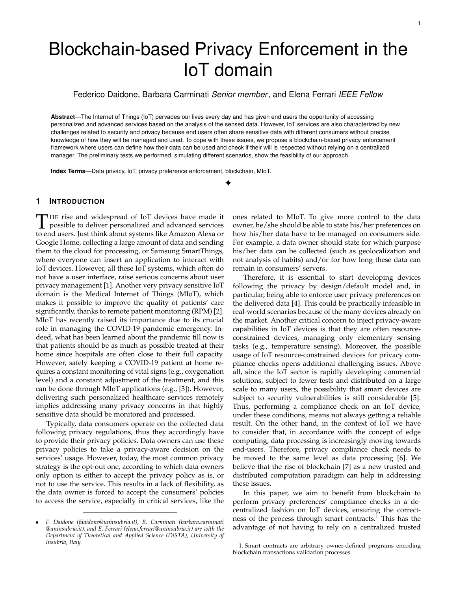*Privacy enforcement layer*: Attacks on the correct functioning of the privacy enforcement layer can be done by malicious IoT devices or gateways that try modifying the preference/policy tuples. Our scenario foresees different IoT devices each with its own tailored privacy preference, specifically the system-defined privacy preference *pps* (cfr. Section 3). For the sake of scalability, in the default setting of our framework IoT devices generate and sign privacy preference tuples. So it is possible that a compromised IoT device, generates a fake privacy preferences, in conflicts with the real owner preferences. However, the data owner is able to verify on the blockchain the stored privacy preference, sent by the IoT device, and detect the attack. This solution could fit many IoT deployment and achieve a good compromise between security and scalability. However, to cope with more risky scenarios (e.g., characterized by resourceconstrained IoT devices that can be easily compromised), the proposed infrastructure supports the data owner to directly submit in the blockchain his/her privacy preferences. This would exclude any tampering by compromised IoT devices.

Another security issue is due to possible DoS attack, where IoT devices try to send an excessive number of privacy preference tuples to continuously trigger the privacy enforcement. We consider that the gateway is equipped with standard countermeasures against DoS (queuing systems, detection, and monitoring system, IoT devices' ban, log and notification, etc.), so it can detect and mitigate by avoiding sending the tuples to the blockchain. In the case that also the gateway participates in the attack, the blockchain administrators can monitor the number of transactions submitted, set rate limiter, identify, and isolate malicious IoT devices or gateway.

Besides participating in DoS attacks, a malicious gateway could modify, duplicate, or omit the privacy preference tuples. We recall that IoT devices sign these, thus any tamper by the gateway is easily identifiable by the blockchain due to signature invalidation. The privacy preference tuples duplications can be identified thanks to the sequence number that cannot be altered, since it's included in the signature. Also, the privacy preference tuples omission can be detected by proposed smart contracts (see, Line 6, Pseudocode 1), which know the expected tuple sequence number and raise an alert in case of wrong sequence number. Finally, the correctness of the privacy enforcement process relies on the correctness of the proposed smart contracts. This has been proven by Theorem 1 available in Appendix B.

*Data release layer*: A possible security issue in this layer is represented by data tuples sent to unauthorized entity (e.g., consumers, peers). This could happen due to (1) untrusted gateway that sends the collected data to unauthorized entity or (2) an attacker who directly eavesdrops the communication. We have to recall that data sensed by IoT devices are encrypted with their private keys before their release (cfr. Section 5). Thus, even if data are shared with unauthorized entities by an untrusted gateway or eavesdropped by attacker, these are not accessible. Furthermore, the risk of eavesdropping is limited by the TLS protocol adopted by Hyperledger Fabric. A data leakage could also occur at the IoT device, as a malicious IoT device could send the sensed data to unauthorized entity. To cope with

in the previous section, e.g., exploiting auditing, signature, and sequence numbers. Finally, the logical correctness of the data release smart contract has been proven by Theorem 2, available in Appendix B.

# **7 EVALUATION**

In this section, we present the evaluation of our solution with a realistic load. At this purpose, we run a set of experiments aiming at measuring: (1) the data throughput, that is, the amount of data that the blockchain can manage in a time unit; (2) the space overhead implied by the additional information (metadata) that our solution requires to insert in the original IoT device streams; and (3) the time spent in privacy preference enforcement and data release. In running the experiments, we considered two main dimensions that impact performance. The first is the number of owner's IoT devices registered in the blockchain, that is, the number of data streams to be processed. Indeed, each distinct inbound data stream requires a distinct aggregation process in order to create  $t_c$ . Moreover, since the compliance checks have to be performed against each registered privacy policy, the second dimension is the number of registered consumers. In our state of the art analysis (cfr. Section 8) we did not find any work directly comparable to our proposal, as they differ in type of infrastructure, scenario, blockchain, and adopted privacy model.

#### **7.1 Test environment**

We simulated a smart home scenario exploiting both Raspberry Pi  $3^{16}$  devices and virtual machines<sup>17</sup>. The adopted smart home scenario consists of four different entities: (1) a gateway collecting data owner streams; (2) blockchain peers supporting the dialogue with consumers (i.e., policy registration, stream subscription); (3) an IoT device manufacturer, and (4) a third-party entity. This latter represents those entities that are not directly involved in the data generation/release but whose peers participate in the blockchain consensus. Moreover, we assume that each entity joins the blockchain with two peers and a certificate authority<sup>18</sup>. For data owners, consumers, and IoT manufacturers, we have implemented a peer on a Raspberry Pi 3 device, whereas the other peers and the certificate authority run virtualized on the server. Instead, peers and certificate authorities of the third party entities run only on the server.

In the experiments, we varied the number of data owners and consumers by changing the load on the corresponding blockchain peers. For the implementation, we used the latest stable Hyperledger Fabric release, that is, 1.4 version. We

<sup>16.</sup> Model B+: Cortex-A53 (ARMv8) @ 1.4GHz, 1GB LPDDR2.

<sup>17.</sup> Running on server Intel Core i7-6700 @ 3.4Ghz, 16GB DDR4

<sup>18.</sup> In Hyperledger Fabric, each entity must have its own certificate authority for the generation of the cryptographic information (PKI keys, certificates, etc.).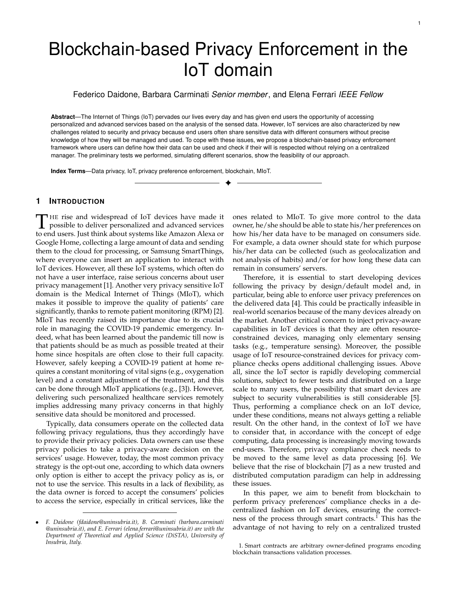used the Raft consensus with 5 orderers, running on the server. To implement a blockchain peer on Raspberry Pi 3, we installed Ubuntu 18.04.2 4.15.0-1033-raspi2 AArch64 OS and compiled Hyperledger Fabric for arm64 platform. For the virtual peers, we used Ubuntu server 18.04 with peers virtualized on a switched Gigabit LAN. The chaincode was developed in  $Go^{19}$ , whereas we used the Hyperledger Fabric SDK for Node.j $s^{20}$  to interface peers with clients.

The experiments were conducted by exploiting the CASAS project dataset<sup>21</sup>, which is widely used by the scientific community. In particular, we used the "Two-resident apartment" dataset consisting of sensors' data collected from a house lived by two people. The dataset contains data gathered from 108 different devices for several days. For simplicity, we consider only 24 hours of a unique data stream. This interval is representative as the other days' pattern is similar due to daily activities' cyclical nature. To implement a more complex scenario, we duplicated this stream to simulate the flow generated by different houses. Each of them has a different data owner, with a different privacy preference. We assumed a minimum of 10 streams. At the beginning, for each stream, we assumed only one consumer with a single privacy preference. Then, we increased these numbers up to 100 subscribed consumers and 100 privacy preferences associated with each stream.

## **7.2 Performance results**

In this section, we present the test results for throughput, space, and time overhead. We assess the performance by testing the scenario with different settings, by varying the number of data owner streams and consumers from 10 to 100 (i.e., 10, 50, 100). We changed privacy preferences and policies every 10 minutes to trigger the new compliance check computation, stressing the system.

*Throughput*: Figure 4 shows the 24h throughput for four settings, where  $S$  and  $C$  indicate the number of streams and consumers, respectively (e.g., 10s10c stands for 10 streams and 10 consumers setting). We omitted the 50 streams and 50 consumers configuration for lack of space, but they are taken into account in the following graphs. The byteIn input throughput is the number of bytes in a second, that the system through the IoT blockchain nodes can accept. The byteOut output throughput is the number of bytes in a second confirmed on the blockchain and that have reached the consumer. byteOut and byteIn have timestamps associated with them, the difference between these two timestamps represents the time interval during which the system performs all needed operations: selection, aggregation, privacy enforcement, data release, and blockchain consensus on each data. This time is the platform transaction time. Focusing on the outgoing stream (byteOut), we notice that the trend is jagged for a few consumers; instead, it becomes flat and constant for a higher number of consumers. This is because the system is not fully loaded initially and thus follows the input trend and has high overhead. When the incoming stream saturates the blockchain's speed of accepting transactions, the gateway's queuing and

10

selection mechanism temporarily store the packets, reducing the outgoing overhead. Although there are higher peaks with few consumers, the average throughput trend is higher in the second case because the sending is continuous. The maximum throughput, on configuration *100s100c*, is around 9000 B/s. Certainly, this throughput is not comparable with the classic IoT systems that achieve higher performance but it is a first milestone in the use of the blockchain in this sector. In fact, being able to successfully manage 100 smart environments, creating about 10,000 data flows (assuming that each IoT device had its own consumer and therefore with a ratio of 1:1) is a good result that paves the way for subsequent experiments.

*Overhead*: In this experiment, we evaluated the impact that the metadata required by our solution implies. We measure overhead, after tuple grouping, as the ratio of metadata ( $t_c$ ) to the overall value of metadata and data ( $t_c$ , **d**), in percentage. Figure 5 shows the 24h average overhead for nine settings. In general, from our experiments we have seen that a data tuple  $t_d$  has a dimension of 272 bytes, of which 136 bytes of data  $(d)$  and 136 bytes of privacy metadata ( $idS$ , sn,  $hash(d)$ ). Looking at the 100s100c throughput configuration with the peak value of 9000 B/s and knowing that we were able to output a **d** data vector of 8432 bytes (62  $d$  data values of 136 bytes), the overhead is about 568 bytes, that is 6.3% of the total size. In this case, we reach the minimum overhead of the output stream. The overhead has the most significant impact when there are few transactions at the entrance and, therefore, little possibility of aggregating them. In fact, we achieved the minimum average overhead of 21% with 100 streams and 100 consumers. The overhead chart highlights the efficiency of the system on the aggregation of tuples and privacy compliance checks. The negative trend confirms the scalability of the platform as streams and consumers increase.

*Transaction time*: Figure 6 shows the 24 hours average transaction time for different settings. Our framework is able to reach around 6 transactions per second  $(0.17 \text{ s}/\text{tx})$ , with an average of 3 transactions per second  $(0.33 \text{ s}/\text{tx})$ , as shown in Figure 5. The average transaction time is almost constant as the number of streams changes because the data owner gateway aggregates the stream and lightens the blockchain. We note a time increase when the number of consumers increases because the compliance checks on privacy preferences and policies increase. Despite the increase in incoming streams, the graph shows that we are able to maintain an almost constant processing time and that it mainly depends on the number of consumers. This means that the system is able to scale well with respect to the number of input streams, thanks to the aggregation techniques used. Based on the obtained results, we estimate that our proposal can handle about 10 buildings $^{22}$  concurrently with 10 dwellings each and latency under 400 milliseconds. This confirms the feasibility of our approach, also considering the large margins for improvement in the use of more performing hardware, software, and networks [13].

<sup>19.</sup> Available at https://golang.org/

<sup>20.</sup> Available at https://hyperledger.github.io/fabric-sdk-node/

<sup>21.</sup> Available at http://casas.wsu.edu/datasets/

<sup>22.</sup> Calculation based on the Italian average number of dwellings per buildings https://entranze.enerdata.net/ per buildings https://entranze.enerdata.net/ average-number-of-dwellings-per-building.html